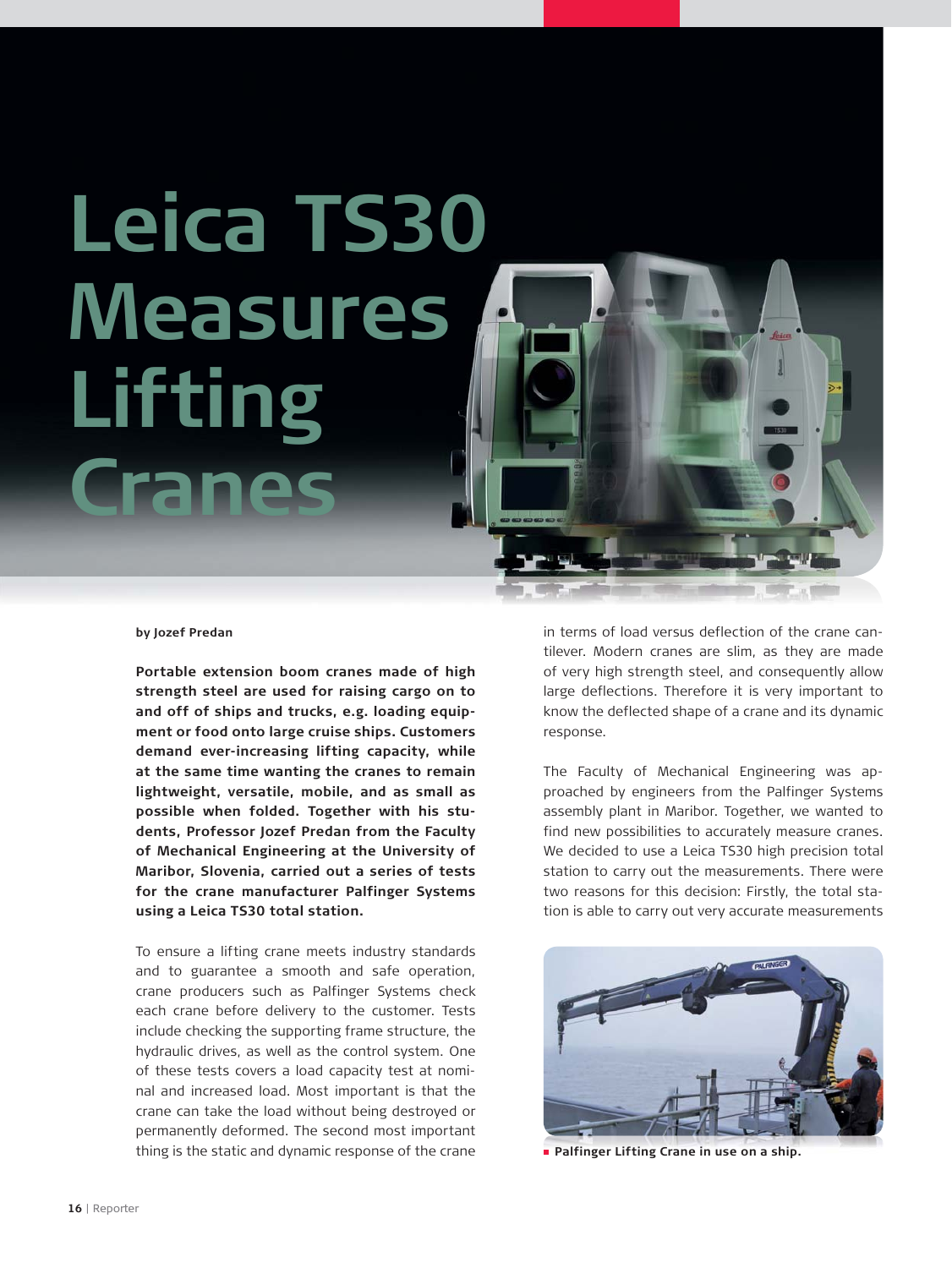## **Leica TS30 Measures Lifting Cranes**

## **by Jozef Predan**

**Portable extension boom cranes made of high strength steel are used for raising cargo on to and off of ships and trucks, e.g. loading equipment or food onto large cruise ships. Customers demand ever-increasing lifting capacity, while at the same time wanting the cranes to remain lightweight, versatile, mobile, and as small as possible when folded. Together with his students, Professor Jozef Predan from the Faculty of Mechanical Engineering at the University of Maribor, Slovenia, carried out a series of tests for the crane manufacturer Palfinger Systems using a Leica TS30 total station.**

To ensure a lifting crane meets industry standards and to guarantee a smooth and safe operation, crane producers such as Palfinger Systems check each crane before delivery to the customer. Tests include checking the supporting frame structure, the hydraulic drives, as well as the control system. One of these tests covers a load capacity test at nominal and increased load. Most important is that the crane can take the load without being destroyed or permanently deformed. The second most important thing is the static and dynamic response of the crane

in terms of load versus deflection of the crane cantilever. Modern cranes are slim, as they are made of very high strength steel, and consequently allow large deflections. Therefore it is very important to know the deflected shape of a crane and its dynamic response.

The Faculty of Mechanical Engineering was approached by engineers from the Palfinger Systems assembly plant in Maribor. Together, we wanted to find new possibilities to accurately measure cranes. We decided to use a Leica TS30 high precision total station to carry out the measurements. There were two reasons for this decision: Firstly, the total station is able to carry out very accurate measurements



**Palfinger Lifting Crane in use on a ship.**